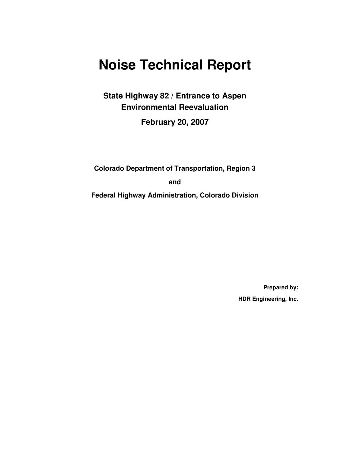# **Noise Technical Report**

**State Highway 82 / Entrance to Aspen Environmental Reevaluation** 

**February 20, 2007** 

**Colorado Department of Transportation, Region 3** 

**and** 

**Federal Highway Administration, Colorado Division** 

**Prepared by: HDR Engineering, Inc.**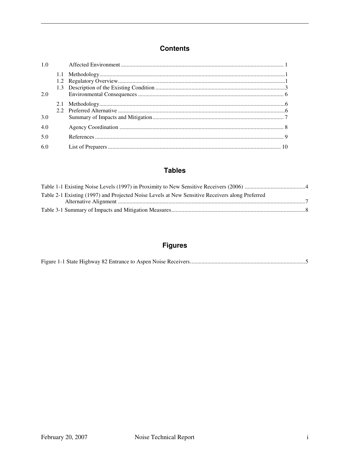#### **Contents**

| 1.0 |  |  |
|-----|--|--|
|     |  |  |
| 2.0 |  |  |
| 3.0 |  |  |
| 4.0 |  |  |
| 5.0 |  |  |
| 6.0 |  |  |

#### **Tables**

| Table 2-1 Existing (1997) and Projected Noise Levels at New Sensitive Receivers along Preferred |
|-------------------------------------------------------------------------------------------------|
|                                                                                                 |
|                                                                                                 |

### **Figures**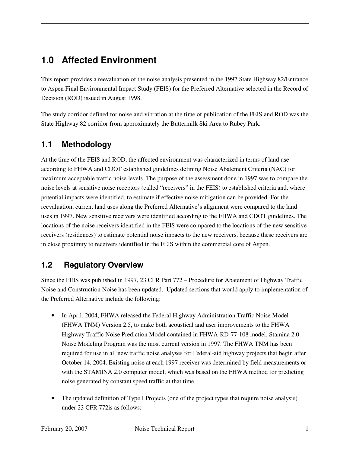### **1.0 Affected Environment**

This report provides a reevaluation of the noise analysis presented in the 1997 State Highway 82/Entrance to Aspen Final Environmental Impact Study (FEIS) for the Preferred Alternative selected in the Record of Decision (ROD) issued in August 1998.

The study corridor defined for noise and vibration at the time of publication of the FEIS and ROD was the State Highway 82 corridor from approximately the Buttermilk Ski Area to Rubey Park.

#### **1.1 Methodology**

At the time of the FEIS and ROD, the affected environment was characterized in terms of land use according to FHWA and CDOT established guidelines defining Noise Abatement Criteria (NAC) for maximum acceptable traffic noise levels. The purpose of the assessment done in 1997 was to compare the noise levels at sensitive noise receptors (called "receivers" in the FEIS) to established criteria and, where potential impacts were identified, to estimate if effective noise mitigation can be provided. For the reevaluation, current land uses along the Preferred Alternative's alignment were compared to the land uses in 1997. New sensitive receivers were identified according to the FHWA and CDOT guidelines. The locations of the noise receivers identified in the FEIS were compared to the locations of the new sensitive receivers (residences) to estimate potential noise impacts to the new receivers, because these receivers are in close proximity to receivers identified in the FEIS within the commercial core of Aspen.

#### **1.2 Regulatory Overview**

Since the FEIS was published in 1997, 23 CFR Part 772 – Procedure for Abatement of Highway Traffic Noise and Construction Noise has been updated. Updated sections that would apply to implementation of the Preferred Alternative include the following:

- In April, 2004, FHWA released the Federal Highway Administration Traffic Noise Model (FHWA TNM) Version 2.5, to make both acoustical and user improvements to the FHWA Highway Traffic Noise Prediction Model contained in FHWA-RD-77-108 model. Stamina 2.0 Noise Modeling Program was the most current version in 1997. The FHWA TNM has been required for use in all new traffic noise analyses for Federal-aid highway projects that begin after October 14, 2004. Existing noise at each 1997 receiver was determined by field measurements or with the STAMINA 2.0 computer model, which was based on the FHWA method for predicting noise generated by constant speed traffic at that time.
- The updated definition of Type I Projects (one of the project types that require noise analysis) under 23 CFR 772is as follows: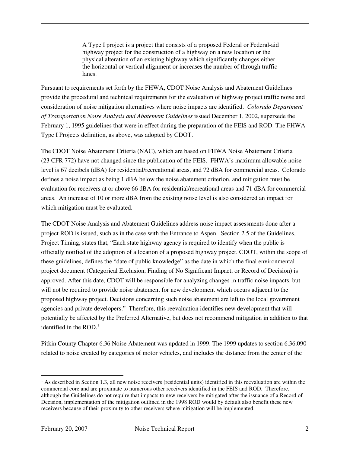A Type I project is a project that consists of a proposed Federal or Federal-aid highway project for the construction of a highway on a new location or the physical alteration of an existing highway which significantly changes either the horizontal or vertical alignment or increases the number of through traffic lanes.

Pursuant to requirements set forth by the FHWA, CDOT Noise Analysis and Abatement Guidelines provide the procedural and technical requirements for the evaluation of highway project traffic noise and consideration of noise mitigation alternatives where noise impacts are identified. *Colorado Department of Transportation Noise Analysis and Abatement Guidelines* issued December 1, 2002, supersede the February 1, 1995 guidelines that were in effect during the preparation of the FEIS and ROD. The FHWA Type I Projects definition, as above, was adopted by CDOT.

The CDOT Noise Abatement Criteria (NAC), which are based on FHWA Noise Abatement Criteria (23 CFR 772) have not changed since the publication of the FEIS. FHWA's maximum allowable noise level is 67 decibels (dBA) for residential/recreational areas, and 72 dBA for commercial areas. Colorado defines a noise impact as being 1 dBA below the noise abatement criterion, and mitigation must be evaluation for receivers at or above 66 dBA for residential/recreational areas and 71 dBA for commercial areas. An increase of 10 or more dBA from the existing noise level is also considered an impact for which mitigation must be evaluated.

The CDOT Noise Analysis and Abatement Guidelines address noise impact assessments done after a project ROD is issued, such as in the case with the Entrance to Aspen. Section 2.5 of the Guidelines, Project Timing, states that, "Each state highway agency is required to identify when the public is officially notified of the adoption of a location of a proposed highway project. CDOT, within the scope of these guidelines, defines the "date of public knowledge" as the date in which the final environmental project document (Categorical Exclusion, Finding of No Significant Impact, or Record of Decision) is approved. After this date, CDOT will be responsible for analyzing changes in traffic noise impacts, but will not be required to provide noise abatement for new development which occurs adjacent to the proposed highway project. Decisions concerning such noise abatement are left to the local government agencies and private developers." Therefore, this reevaluation identifies new development that will potentially be affected by the Preferred Alternative, but does not recommend mitigation in addition to that identified in the ROD. $<sup>1</sup>$ </sup>

Pitkin County Chapter 6.36 Noise Abatement was updated in 1999. The 1999 updates to section 6.36.090 related to noise created by categories of motor vehicles, and includes the distance from the center of the

 $\overline{a}$ 

 $<sup>1</sup>$  As described in Section 1.3, all new noise receivers (residential units) identified in this reevaluation are within the</sup> commercial core and are proximate to numerous other receivers identified in the FEIS and ROD. Therefore, although the Guidelines do not require that impacts to new receivers be mitigated after the issuance of a Record of Decision, implementation of the mitigation outlined in the 1998 ROD would by default also benefit these new receivers because of their proximity to other receivers where mitigation will be implemented.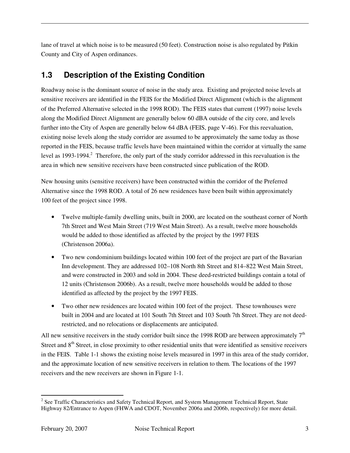lane of travel at which noise is to be measured (50 feet). Construction noise is also regulated by Pitkin County and City of Aspen ordinances.

### **1.3 Description of the Existing Condition**

Roadway noise is the dominant source of noise in the study area. Existing and projected noise levels at sensitive receivers are identified in the FEIS for the Modified Direct Alignment (which is the alignment of the Preferred Alternative selected in the 1998 ROD). The FEIS states that current (1997) noise levels along the Modified Direct Alignment are generally below 60 dBA outside of the city core, and levels further into the City of Aspen are generally below 64 dBA (FEIS, page V-46). For this reevaluation, existing noise levels along the study corridor are assumed to be approximately the same today as those reported in the FEIS, because traffic levels have been maintained within the corridor at virtually the same level as 1993-1994.<sup>2</sup> Therefore, the only part of the study corridor addressed in this reevaluation is the area in which new sensitive receivers have been constructed since publication of the ROD.

New housing units (sensitive receivers) have been constructed within the corridor of the Preferred Alternative since the 1998 ROD. A total of 26 new residences have been built within approximately 100 feet of the project since 1998.

- Twelve multiple-family dwelling units, built in 2000, are located on the southeast corner of North 7th Street and West Main Street (719 West Main Street). As a result, twelve more households would be added to those identified as affected by the project by the 1997 FEIS (Christenson 2006a).
- Two new condominium buildings located within 100 feet of the project are part of the Bavarian Inn development. They are addressed 102–108 North 8th Street and 814–822 West Main Street, and were constructed in 2003 and sold in 2004. These deed-restricted buildings contain a total of 12 units (Christenson 2006b). As a result, twelve more households would be added to those identified as affected by the project by the 1997 FEIS.
- Two other new residences are located within 100 feet of the project. These townhouses were built in 2004 and are located at 101 South 7th Street and 103 South 7th Street. They are not deedrestricted, and no relocations or displacements are anticipated.

All new sensitive receivers in the study corridor built since the 1998 ROD are between approximately  $7<sup>th</sup>$ Street and 8<sup>th</sup> Street, in close proximity to other residential units that were identified as sensitive receivers in the FEIS. Table 1-1 shows the existing noise levels measured in 1997 in this area of the study corridor, and the approximate location of new sensitive receivers in relation to them. The locations of the 1997 receivers and the new receivers are shown in Figure 1-1.

<sup>&</sup>lt;sup>2</sup> See Traffic Characteristics and Safety Technical Report, and System Management Technical Report, State Highway 82/Entrance to Aspen (FHWA and CDOT, November 2006a and 2006b, respectively) for more detail.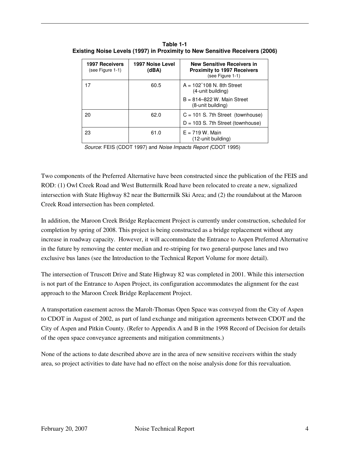| <b>1997 Receivers</b><br>(see Figure 1-1) | 1997 Noise Level<br>(dBA) | <b>New Sensitive Receivers in</b><br><b>Proximity to 1997 Receivers</b><br>(see Figure 1-1) |  |
|-------------------------------------------|---------------------------|---------------------------------------------------------------------------------------------|--|
| 17                                        | 60.5                      | $A = 102$ 108 N. 8th Street<br>(4-unit building)                                            |  |
|                                           |                           | $B = 814 - 822$ W. Main Street<br>(8-unit building)                                         |  |
| 20                                        | 62.0                      | $C = 101$ S. 7th Street (townhouse)<br>$D = 103$ S. 7th Street (townhouse)                  |  |
| 23                                        | 61.0                      | $E = 719$ W. Main<br>(12-unit building)                                                     |  |

**Table 1-1 Existing Noise Levels (1997) in Proximity to New Sensitive Receivers (2006)** 

Source: FEIS (CDOT 1997) and Noise Impacts Report (CDOT 1995)

Two components of the Preferred Alternative have been constructed since the publication of the FEIS and ROD: (1) Owl Creek Road and West Buttermilk Road have been relocated to create a new, signalized intersection with State Highway 82 near the Buttermilk Ski Area; and (2) the roundabout at the Maroon Creek Road intersection has been completed.

In addition, the Maroon Creek Bridge Replacement Project is currently under construction, scheduled for completion by spring of 2008. This project is being constructed as a bridge replacement without any increase in roadway capacity. However, it will accommodate the Entrance to Aspen Preferred Alternative in the future by removing the center median and re-striping for two general-purpose lanes and two exclusive bus lanes (see the Introduction to the Technical Report Volume for more detail).

The intersection of Truscott Drive and State Highway 82 was completed in 2001. While this intersection is not part of the Entrance to Aspen Project, its configuration accommodates the alignment for the east approach to the Maroon Creek Bridge Replacement Project.

A transportation easement across the Marolt-Thomas Open Space was conveyed from the City of Aspen to CDOT in August of 2002, as part of land exchange and mitigation agreements between CDOT and the City of Aspen and Pitkin County. (Refer to Appendix A and B in the 1998 Record of Decision for details of the open space conveyance agreements and mitigation commitments.)

None of the actions to date described above are in the area of new sensitive receivers within the study area, so project activities to date have had no effect on the noise analysis done for this reevaluation.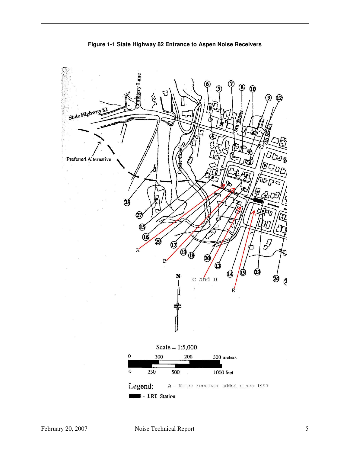

**Figure 1-1 State Highway 82 Entrance to Aspen Noise Receivers**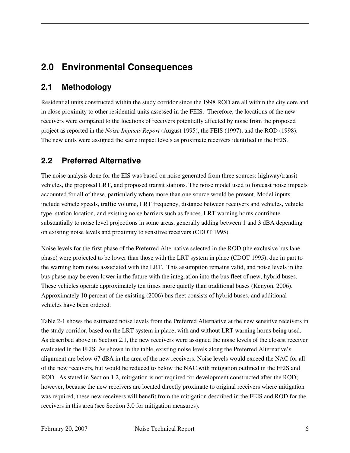### **2.0 Environmental Consequences**

#### **2.1 Methodology**

Residential units constructed within the study corridor since the 1998 ROD are all within the city core and in close proximity to other residential units assessed in the FEIS. Therefore, the locations of the new receivers were compared to the locations of receivers potentially affected by noise from the proposed project as reported in the *Noise Impacts Report* (August 1995), the FEIS (1997), and the ROD (1998). The new units were assigned the same impact levels as proximate receivers identified in the FEIS.

#### **2.2 Preferred Alternative**

The noise analysis done for the EIS was based on noise generated from three sources: highway/transit vehicles, the proposed LRT, and proposed transit stations. The noise model used to forecast noise impacts accounted for all of these, particularly where more than one source would be present. Model inputs include vehicle speeds, traffic volume, LRT frequency, distance between receivers and vehicles, vehicle type, station location, and existing noise barriers such as fences. LRT warning horns contribute substantially to noise level projections in some areas, generally adding between 1 and 3 dBA depending on existing noise levels and proximity to sensitive receivers (CDOT 1995).

Noise levels for the first phase of the Preferred Alternative selected in the ROD (the exclusive bus lane phase) were projected to be lower than those with the LRT system in place (CDOT 1995), due in part to the warning horn noise associated with the LRT. This assumption remains valid, and noise levels in the bus phase may be even lower in the future with the integration into the bus fleet of new, hybrid buses. These vehicles operate approximately ten times more quietly than traditional buses (Kenyon, 2006). Approximately 10 percent of the existing (2006) bus fleet consists of hybrid buses, and additional vehicles have been ordered.

Table 2-1 shows the estimated noise levels from the Preferred Alternative at the new sensitive receivers in the study corridor, based on the LRT system in place, with and without LRT warning horns being used. As described above in Section 2.1, the new receivers were assigned the noise levels of the closest receiver evaluated in the FEIS. As shown in the table, existing noise levels along the Preferred Alternative's alignment are below 67 dBA in the area of the new receivers. Noise levels would exceed the NAC for all of the new receivers, but would be reduced to below the NAC with mitigation outlined in the FEIS and ROD. As stated in Section 1.2, mitigation is not required for development constructed after the ROD; however, because the new receivers are located directly proximate to original receivers where mitigation was required, these new receivers will benefit from the mitigation described in the FEIS and ROD for the receivers in this area (see Section 3.0 for mitigation measures).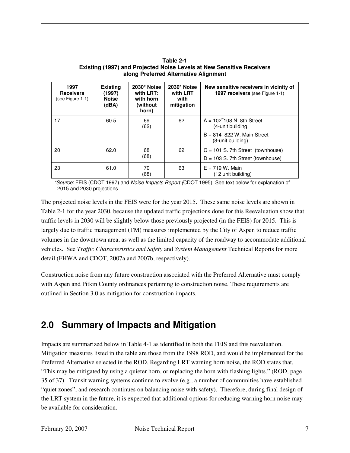**Table 2-1 Existing (1997) and Projected Noise Levels at New Sensitive Receivers along Preferred Alternative Alignment** 

| 1997<br><b>Receivers</b><br>(see Figure 1-1) | <b>Existing</b><br>(1997)<br><b>Noise</b><br>(dBA) | 2030* Noise<br>with LRT:<br>with horn<br>(without)<br>horn) | 2030* Noise<br>with LRT<br>with<br>mitigation | New sensitive receivers in vicinity of<br><b>1997 receivers</b> (see Figure 1-1)                        |
|----------------------------------------------|----------------------------------------------------|-------------------------------------------------------------|-----------------------------------------------|---------------------------------------------------------------------------------------------------------|
| 17                                           | 60.5                                               | 69<br>(62)                                                  | 62                                            | $A = 102$ 108 N. 8th Street<br>(4-unit building)<br>$B = 814 - 822$ W. Main Street<br>(8-unit building) |
| 20                                           | 62.0                                               | 68<br>(68)                                                  | 62                                            | $C = 101$ S. 7th Street (townhouse)<br>$D = 103$ S. 7th Street (townhouse)                              |
| 23                                           | 61.0                                               | 70<br>(68)                                                  | 63                                            | $E = 719$ W. Main<br>(12 unit building)                                                                 |

\*Source: FEIS (CDOT 1997) and Noise Impacts Report (CDOT 1995). See text below for explanation of 2015 and 2030 projections.

The projected noise levels in the FEIS were for the year 2015. These same noise levels are shown in Table 2-1 for the year 2030, because the updated traffic projections done for this Reevaluation show that traffic levels in 2030 will be slightly below those previously projected (in the FEIS) for 2015. This is largely due to traffic management (TM) measures implemented by the City of Aspen to reduce traffic volumes in the downtown area, as well as the limited capacity of the roadway to accommodate additional vehicles. See *Traffic Characteristics and Safety* and *System Management* Technical Reports for more detail (FHWA and CDOT, 2007a and 2007b, respectively).

Construction noise from any future construction associated with the Preferred Alternative must comply with Aspen and Pitkin County ordinances pertaining to construction noise. These requirements are outlined in Section 3.0 as mitigation for construction impacts.

### **2.0 Summary of Impacts and Mitigation**

Impacts are summarized below in Table 4-1 as identified in both the FEIS and this reevaluation. Mitigation measures listed in the table are those from the 1998 ROD, and would be implemented for the Preferred Alternative selected in the ROD. Regarding LRT warning horn noise, the ROD states that, "This may be mitigated by using a quieter horn, or replacing the horn with flashing lights." (ROD, page 35 of 37). Transit warning systems continue to evolve (e.g., a number of communities have established "quiet zones", and research continues on balancing noise with safety). Therefore, during final design of the LRT system in the future, it is expected that additional options for reducing warning horn noise may be available for consideration.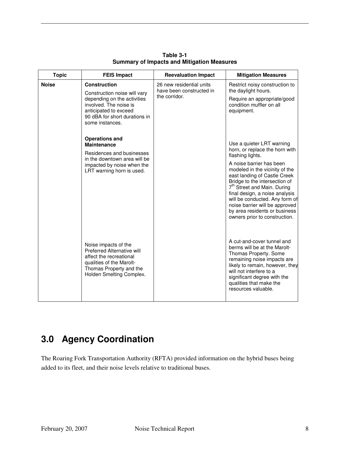| <b>Topic</b> | <b>FEIS Impact</b>                                                                                                                                               | <b>Reevaluation Impact</b>                                            | <b>Mitigation Measures</b>                                                                                                                                                                                                                                                                                                                     |
|--------------|------------------------------------------------------------------------------------------------------------------------------------------------------------------|-----------------------------------------------------------------------|------------------------------------------------------------------------------------------------------------------------------------------------------------------------------------------------------------------------------------------------------------------------------------------------------------------------------------------------|
| <b>Noise</b> | <b>Construction</b><br>Construction noise will vary<br>depending on the activities                                                                               | 26 new residential units<br>have been constructed in<br>the corridor. | Restrict noisy construction to<br>the daylight hours.<br>Require an appropriate/good                                                                                                                                                                                                                                                           |
|              | involved. The noise is<br>anticipated to exceed<br>90 dBA for short durations in<br>some instances.                                                              |                                                                       | condition muffler on all<br>equipment.                                                                                                                                                                                                                                                                                                         |
|              | <b>Operations and</b><br><b>Maintenance</b><br>Residences and businesses                                                                                         |                                                                       | Use a quieter LRT warning<br>horn, or replace the horn with<br>flashing lights.                                                                                                                                                                                                                                                                |
|              | in the downtown area will be<br>impacted by noise when the<br>LRT warning horn is used.                                                                          |                                                                       | A noise barrier has been<br>modeled in the vicinity of the<br>east landing of Castle Creek<br>Bridge to the intersection of<br>7 <sup>th</sup> Street and Main. During<br>final design, a noise analysis<br>will be conducted. Any form of<br>noise barrier will be approved<br>by area residents or business<br>owners prior to construction. |
|              | Noise impacts of the<br>Preferred Alternative will<br>affect the recreational<br>qualities of the Marolt-<br>Thomas Property and the<br>Holden Smelting Complex. |                                                                       | A cut-and-cover tunnel and<br>berms will be at the Marolt-<br>Thomas Property. Some<br>remaining noise impacts are<br>likely to remain, however, they<br>will not interfere to a<br>significant degree with the<br>qualities that make the<br>resources valuable.                                                                              |

**Table 3-1 Summary of Impacts and Mitigation Measures** 

### **3.0 Agency Coordination**

The Roaring Fork Transportation Authority (RFTA) provided information on the hybrid buses being added to its fleet, and their noise levels relative to traditional buses.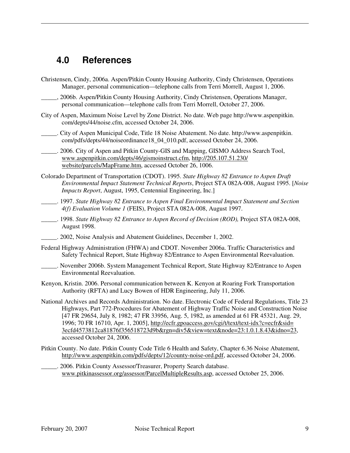### **4.0 References**

- Christensen, Cindy, 2006a. Aspen/Pitkin County Housing Authority, Cindy Christensen, Operations Manager, personal communication—telephone calls from Terri Morrell, August 1, 2006.
- 2006b. Aspen/Pitkin County Housing Authority, Cindy Christensen, Operations Manager, personal communication—telephone calls from Terri Morrell, October 27, 2006.
- City of Aspen, Maximum Noise Level by Zone District. No date. Web page http://www.aspenpitkin. com/depts/44/noise.cfm, accessed October 24, 2006.
- \_\_\_\_\_. City of Aspen Municipal Code, Title 18 Noise Abatement. No date. http://www.aspenpitkin. com/pdfs/depts/44/noiseordinance18\_04\_010.pdf, accessed October 24, 2006.
- 2006. City of Aspen and Pitkin County-GIS and Mapping, GISMO Address Search Tool, www.aspenpitkin.com/depts/46/gismoinstruct.cfm, http://205.107.51.230/ website/parcels/MapFrame.htm, accessed October 26, 1006.
- Colorado Department of Transportation (CDOT). 1995. *State Highway 82 Entrance to Aspen Draft Environmental Impact Statement Technical Reports*, Project STA 082A-008, August 1995. [*Noise Impacts Report*, August, 1995, Centennial Engineering, Inc.]
- \_\_\_\_\_. 1997. *State Highway 82 Entrance to Aspen Final Environmental Impact Statement and Section 4(f) Evaluation Volume 1* (FEIS), Project STA 082A-008, August 1997.
- \_\_\_\_\_. 1998. *State Highway 82 Entrance to Aspen Record of Decision (ROD),* Project STA 082A-008, August 1998.
- \_\_\_\_\_. 2002, Noise Analysis and Abatement Guidelines, December 1, 2002.
- Federal Highway Administration (FHWA) and CDOT. November 2006a. Traffic Characteristics and Safety Technical Report, State Highway 82/Entrance to Aspen Environmental Reevaluation.
- \_\_\_\_\_. November 2006b. System Management Technical Report, State Highway 82/Entrance to Aspen Environmental Reevaluation.
- Kenyon, Kristin. 2006. Personal communication between K. Kenyon at Roaring Fork Transportation Authority (RFTA) and Lucy Bowen of HDR Engineering, July 11, 2006.
- National Archives and Records Administration. No date. Electronic Code of Federal Regulations, Title 23 Highways, Part 772-Procedures for Abatement of Highway Traffic Noise and Construction Noise [47 FR 29654, July 8, 1982; 47 FR 33956, Aug. 5, 1982, as amended at 61 FR 45321, Aug. 29, 1996; 70 FR 16710, Apr. 1, 2005], http://ecfr.gpoaccess.gov/cgi/t/text/text-idx?c=ecfr&sid= 3ecfd4573812ca81876f356518723d9b&rgn=div5&view=text&node=23:1.0.1.8.43&idno=23, accessed October 24, 2006.
- Pitkin County. No date. Pitkin County Code Title 6 Health and Safety, Chapter 6.36 Noise Abatement, http://www.aspenpitkin.com/pdfs/depts/12/county-noise-ord.pdf, accessed October 24, 2006.
	- \_\_\_\_\_. 2006. Pitkin County Assessor/Treasurer, Property Search database. www.pitkinassessor.org/assessor/ParcelMultipleResults.asp, accessed October 25, 2006.